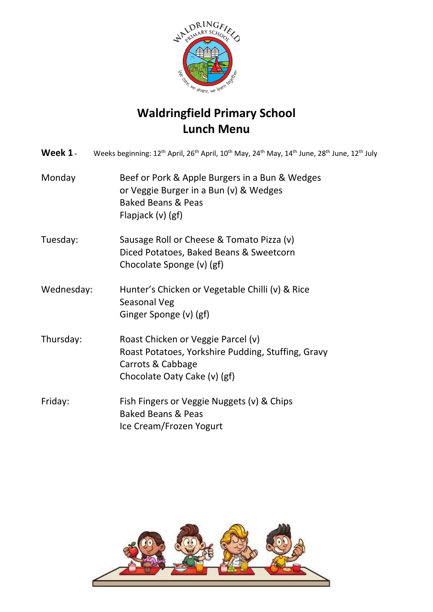

## **Waldringfield Primary School Lunch Menu**

|            | <b>Week 1</b> - Weeks beginning: $12^{th}$ April, $26^{th}$ April, $10^{th}$ May, $24^{th}$ May, $14^{th}$ June, $28^{th}$ June, $12^{th}$ July |
|------------|-------------------------------------------------------------------------------------------------------------------------------------------------|
| Monday     | Beef or Pork & Apple Burgers in a Bun & Wedges<br>or Veggie Burger in a Bun (v) & Wedges<br><b>Baked Beans &amp; Peas</b><br>Flapjack (v) (gf)  |
| Tuesday:   | Sausage Roll or Cheese & Tomato Pizza (v)<br>Diced Potatoes, Baked Beans & Sweetcorn<br>Chocolate Sponge (v) (gf)                               |
| Wednesday: | Hunter's Chicken or Vegetable Chilli (v) & Rice<br>Seasonal Veg<br>Ginger Sponge (v) (gf)                                                       |
| Thursday:  | Roast Chicken or Veggie Parcel (v)<br>Roast Potatoes, Yorkshire Pudding, Stuffing, Gravy<br>Carrots & Cabbage<br>Chocolate Oaty Cake (v) (gf)   |
| Friday:    | Fish Fingers or Veggie Nuggets (v) & Chips<br><b>Baked Beans &amp; Peas</b><br>Ice Cream/Frozen Yogurt                                          |